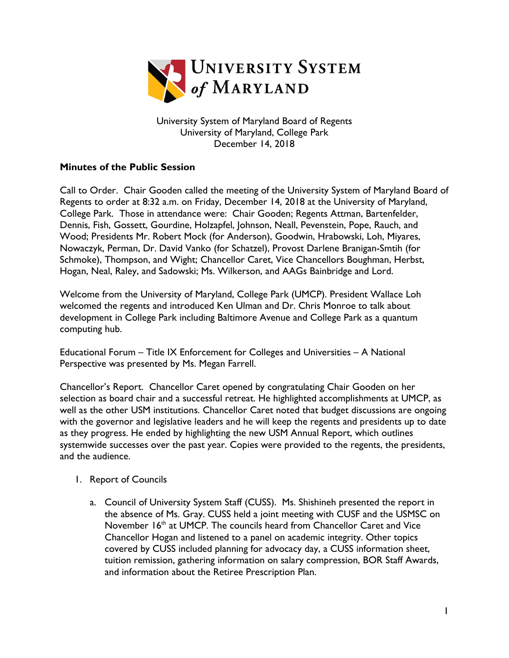

University System of Maryland Board of Regents University of Maryland, College Park December 14, 2018

## **Minutes of the Public Session**

Call to Order. Chair Gooden called the meeting of the University System of Maryland Board of Regents to order at 8:32 a.m. on Friday, December 14, 2018 at the University of Maryland, College Park. Those in attendance were: Chair Gooden; Regents Attman, Bartenfelder, Dennis, Fish, Gossett, Gourdine, Holzapfel, Johnson, Neall, Pevenstein, Pope, Rauch, and Wood; Presidents Mr. Robert Mock (for Anderson), Goodwin, Hrabowski, Loh, Miyares, Nowaczyk, Perman, Dr. David Vanko (for Schatzel), Provost Darlene Branigan-Smtih (for Schmoke), Thompson, and Wight; Chancellor Caret, Vice Chancellors Boughman, Herbst, Hogan, Neal, Raley, and Sadowski; Ms. Wilkerson, and AAGs Bainbridge and Lord.

Welcome from the University of Maryland, College Park (UMCP). President Wallace Loh welcomed the regents and introduced Ken Ulman and Dr. Chris Monroe to talk about development in College Park including Baltimore Avenue and College Park as a quantum computing hub.

Educational Forum – Title IX Enforcement for Colleges and Universities – A National Perspective was presented by Ms. Megan Farrell.

Chancellor's Report. Chancellor Caret opened by congratulating Chair Gooden on her selection as board chair and a successful retreat. He highlighted accomplishments at UMCP, as well as the other USM institutions. Chancellor Caret noted that budget discussions are ongoing with the governor and legislative leaders and he will keep the regents and presidents up to date as they progress. He ended by highlighting the new USM Annual Report, which outlines systemwide successes over the past year. Copies were provided to the regents, the presidents, and the audience.

## 1. Report of Councils

a. Council of University System Staff (CUSS). Ms. Shishineh presented the report in the absence of Ms. Gray. CUSS held a joint meeting with CUSF and the USMSC on November  $16<sup>th</sup>$  at UMCP. The councils heard from Chancellor Caret and Vice Chancellor Hogan and listened to a panel on academic integrity. Other topics covered by CUSS included planning for advocacy day, a CUSS information sheet, tuition remission, gathering information on salary compression, BOR Staff Awards, and information about the Retiree Prescription Plan.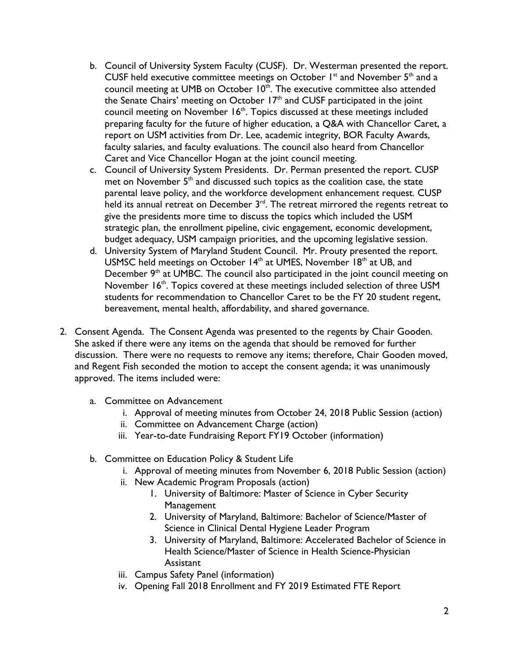- b. Council of University System Faculty (CUSF). Dr. Westerman presented the report. CUSF held executive committee meetings on October  $I<sup>st</sup>$  and November  $5<sup>th</sup>$  and a council meeting at UMB on October  $10<sup>th</sup>$ . The executive committee also attended the Senate Chairs' meeting on October 17<sup>th</sup> and CUSF participated in the joint council meeting on November 16<sup>th</sup>. Topics discussed at these meetings included preparing faculty for the future of higher education, a Q&A with Chancellor Caret, a report on USM activities from Dr. Lee, academic integrity, BOR Faculty Awards, faculty salaries, and faculty evaluations. The council also heard from Chancellor Caret and Vice Chancellor Hogan at the joint council meeting.
- c. Council of University System Presidents. Dr. Perman presented the report. CUSP met on November  $5<sup>th</sup>$  and discussed such topics as the coalition case, the state parental leave policy, and the workforce development enhancement request. CUSP .<br>held its annual retreat on December 3<sup>rd</sup>. The retreat mirrored the regents retreat to give the presidents more time to discuss the topics which included the USM strategic plan, the enrollment pipeline, civic engagement, economic development, budget adequacy, USM campaign priorities, and the upcoming legislative session.
- d. University System of Maryland Student Council. Mr. Prouty presented the report. USMSC held meetings on October 14<sup>th</sup> at UMES, November 18<sup>th</sup> at UB, and December  $9<sup>th</sup>$  at UMBC. The council also participated in the joint council meeting on November  $16<sup>th</sup>$ . Topics covered at these meetings included selection of three USM students for recommendation to Chancellor Caret to be the FY 20 student regent, bereavement, mental health, affordability, and shared governance.
- 2. Consent Agenda. The Consent Agenda was presented to the regents by Chair Gooden. She asked if there were any items on the agenda that should be removed for further discussion. There were no requests to remove any items; therefore, Chair Gooden moved, and Regent Fish seconded the motion to accept the consent agenda; it was unanimously approved. The items included were:
	- a. Committee on Advancement
		- i. Approval of meeting minutes from October 24, 2018 Public Session (action)
		- ii. Committee on Advancement Charge (action)
		- iii. Year-to-date Fundraising Report FY19 October (information)
	- b. Committee on Education Policy & Student Life
		- i. Approval of meeting minutes from November 6, 2018 Public Session (action)
		- ii. New Academic Program Proposals (action)
			- 1. University of Baltimore: Master of Science in Cyber Security **Management**
			- 2. University of Maryland, Baltimore: Bachelor of Science/Master of Science in Clinical Dental Hygiene Leader Program
			- 3. University of Maryland, Baltimore: Accelerated Bachelor of Science in Health Science/Master of Science in Health Science-Physician **Assistant**
		- iii. Campus Safety Panel (information)
		- iv. Opening Fall 2018 Enrollment and FY 2019 Estimated FTE Report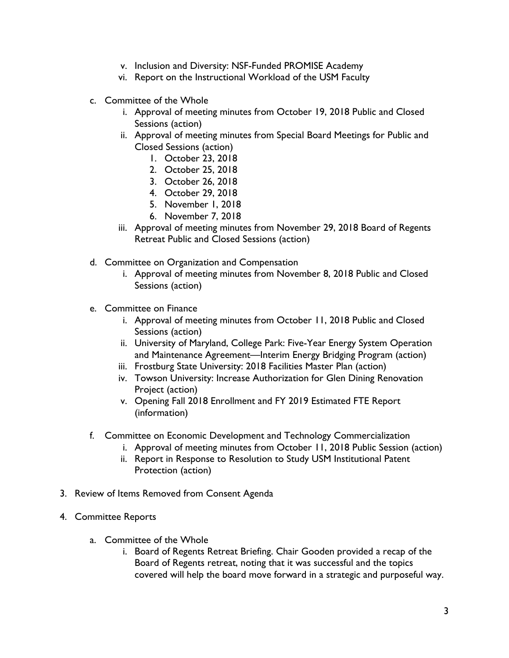- v. Inclusion and Diversity: NSF-Funded PROMISE Academy
- vi. Report on the Instructional Workload of the USM Faculty
- c. Committee of the Whole
	- i. Approval of meeting minutes from October 19, 2018 Public and Closed Sessions (action)
	- ii. Approval of meeting minutes from Special Board Meetings for Public and Closed Sessions (action)
		- 1. October 23, 2018
		- 2. October 25, 2018
		- 3. October 26, 2018
		- 4. October 29, 2018
		- 5. November 1, 2018
		- 6. November 7, 2018
	- iii. Approval of meeting minutes from November 29, 2018 Board of Regents Retreat Public and Closed Sessions (action)
- d. Committee on Organization and Compensation
	- i. Approval of meeting minutes from November 8, 2018 Public and Closed Sessions (action)
- e. Committee on Finance
	- i. Approval of meeting minutes from October 11, 2018 Public and Closed Sessions (action)
	- ii. University of Maryland, College Park: Five-Year Energy System Operation and Maintenance Agreement—Interim Energy Bridging Program (action)
	- iii. Frostburg State University: 2018 Facilities Master Plan (action)
	- iv. Towson University: Increase Authorization for Glen Dining Renovation Project (action)
	- v. Opening Fall 2018 Enrollment and FY 2019 Estimated FTE Report (information)
- f. Committee on Economic Development and Technology Commercialization
	- i. Approval of meeting minutes from October 11, 2018 Public Session (action)
	- ii. Report in Response to Resolution to Study USM Institutional Patent Protection (action)
- 3. Review of Items Removed from Consent Agenda
- 4. Committee Reports
	- a. Committee of the Whole
		- i. Board of Regents Retreat Briefing. Chair Gooden provided a recap of the Board of Regents retreat, noting that it was successful and the topics covered will help the board move forward in a strategic and purposeful way.